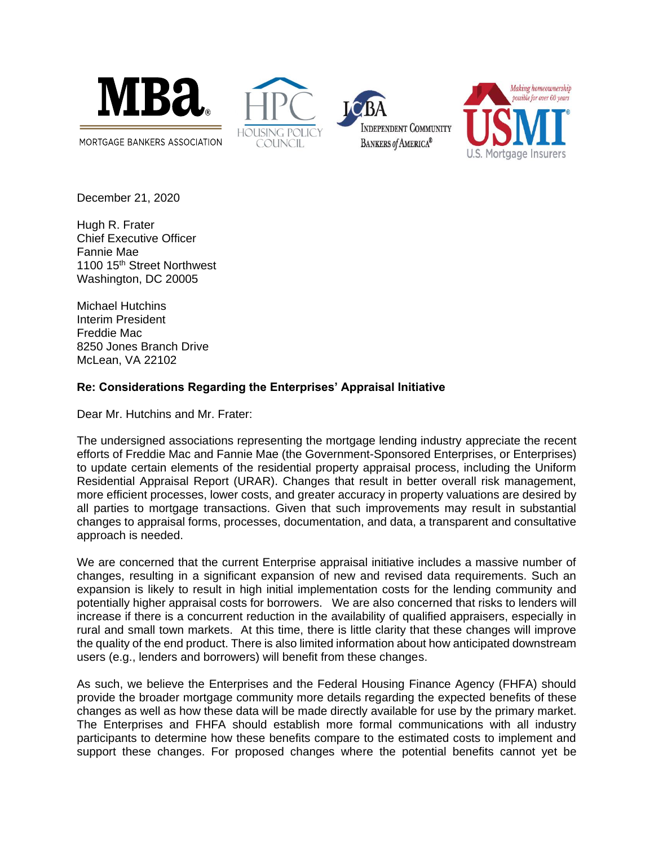

MORTGAGE BANKERS ASSOCIATION







December 21, 2020

Hugh R. Frater Chief Executive Officer Fannie Mae 1100 15<sup>th</sup> Street Northwest Washington, DC 20005

Michael Hutchins Interim President Freddie Mac 8250 Jones Branch Drive McLean, VA 22102

## **Re: Considerations Regarding the Enterprises' Appraisal Initiative**

Dear Mr. Hutchins and Mr. Frater:

The undersigned associations representing the mortgage lending industry appreciate the recent efforts of Freddie Mac and Fannie Mae (the Government-Sponsored Enterprises, or Enterprises) to update certain elements of the residential property appraisal process, including the Uniform Residential Appraisal Report (URAR). Changes that result in better overall risk management, more efficient processes, lower costs, and greater accuracy in property valuations are desired by all parties to mortgage transactions. Given that such improvements may result in substantial changes to appraisal forms, processes, documentation, and data, a transparent and consultative approach is needed.

We are concerned that the current Enterprise appraisal initiative includes a massive number of changes, resulting in a significant expansion of new and revised data requirements. Such an expansion is likely to result in high initial implementation costs for the lending community and potentially higher appraisal costs for borrowers. We are also concerned that risks to lenders will increase if there is a concurrent reduction in the availability of qualified appraisers, especially in rural and small town markets. At this time, there is little clarity that these changes will improve the quality of the end product. There is also limited information about how anticipated downstream users (e.g., lenders and borrowers) will benefit from these changes.

As such, we believe the Enterprises and the Federal Housing Finance Agency (FHFA) should provide the broader mortgage community more details regarding the expected benefits of these changes as well as how these data will be made directly available for use by the primary market. The Enterprises and FHFA should establish more formal communications with all industry participants to determine how these benefits compare to the estimated costs to implement and support these changes. For proposed changes where the potential benefits cannot yet be